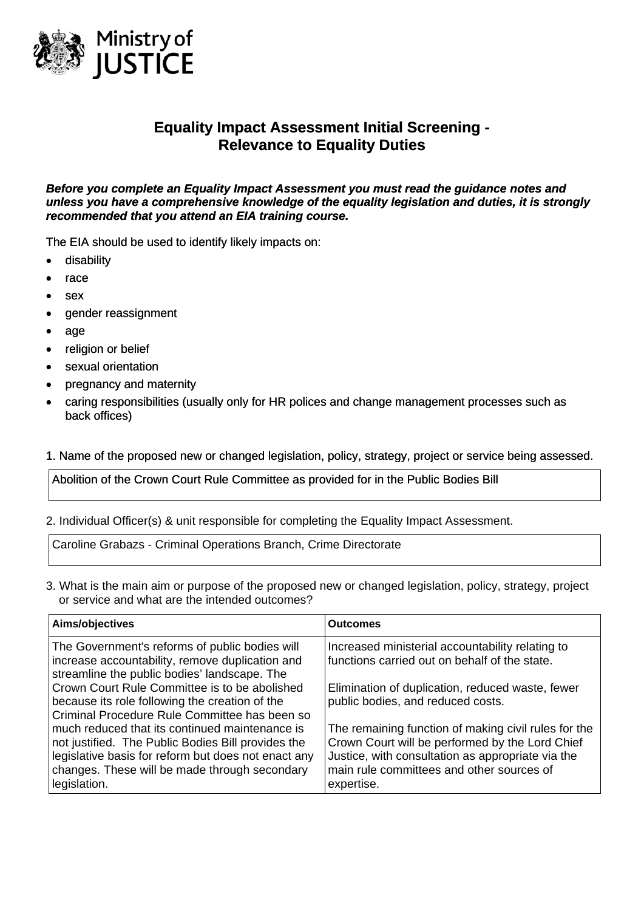

# **Equality Impact Assessment Initial Screening - Relevance to Equality Duties**

*Before you complete an Equality Impact Assessment you must read the guidance notes and unless you have a comprehensive knowledge of the equality legislation and duties, it is strongly recommended that you attend an EIA training course.* 

The EIA should be used to identify likely impacts on:

- disability
- race
- sex
- gender reassignment
- age
- religion or belief
- sexual orientation
- pregnancy and maternity
- caring responsibilities (usually only for HR polices and change management processes such as back offices)

#### 1. Name of the proposed new or changed legislation, policy, strategy, project or service being assessed.

Abolition of the Crown Court Rule Committee as provided for in the Public Bodies Bill

#### 2. Individual Officer(s) & unit responsible for completing the Equality Impact Assessment.

Caroline Grabazs - Criminal Operations Branch, Crime Directorate

3. What is the main aim or purpose of the proposed new or changed legislation, policy, strategy, project or service and what are the intended outcomes?

| Aims/objectives                                                                                                                                                                                                              | <b>Outcomes</b>                                                                                                                                                                                                         |
|------------------------------------------------------------------------------------------------------------------------------------------------------------------------------------------------------------------------------|-------------------------------------------------------------------------------------------------------------------------------------------------------------------------------------------------------------------------|
| The Government's reforms of public bodies will<br>increase accountability, remove duplication and<br>streamline the public bodies' landscape. The                                                                            | Increased ministerial accountability relating to<br>functions carried out on behalf of the state.                                                                                                                       |
| Crown Court Rule Committee is to be abolished<br>because its role following the creation of the<br>Criminal Procedure Rule Committee has been so                                                                             | Elimination of duplication, reduced waste, fewer<br>public bodies, and reduced costs.                                                                                                                                   |
| much reduced that its continued maintenance is<br>not justified. The Public Bodies Bill provides the<br>legislative basis for reform but does not enact any<br>changes. These will be made through secondary<br>legislation. | The remaining function of making civil rules for the<br>Crown Court will be performed by the Lord Chief<br>Justice, with consultation as appropriate via the<br>main rule committees and other sources of<br>expertise. |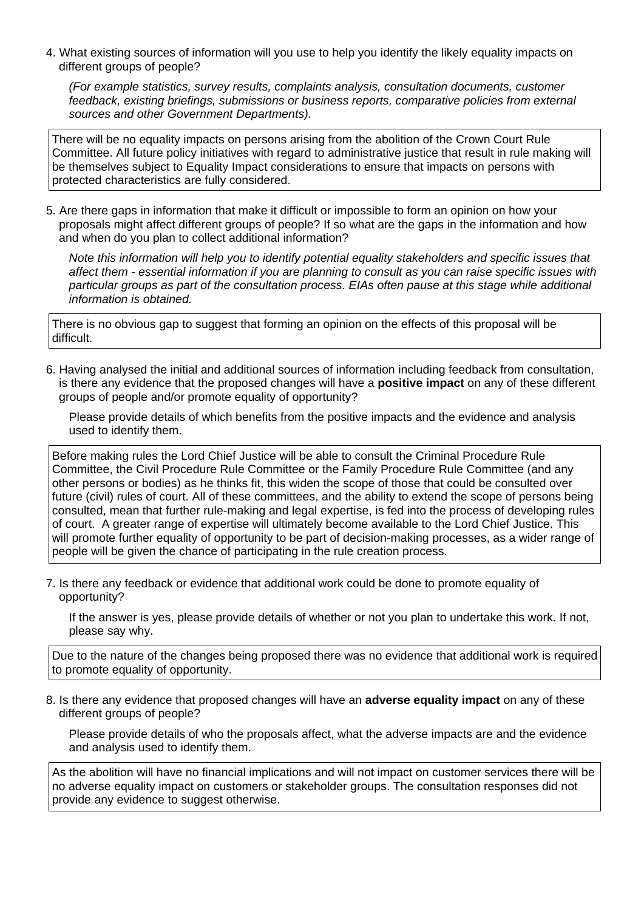4. What existing sources of information will you use to help you identify the likely equality impacts on different groups of people?

*(For example statistics, survey results, complaints analysis, consultation documents, customer feedback, existing briefings, submissions or business reports, comparative policies from external sources and other Government Departments).* 

There will be no equality impacts on persons arising from the abolition of the Crown Court Rule Committee. All future policy initiatives with regard to administrative justice that result in rule making will be themselves subject to Equality Impact considerations to ensure that impacts on persons with protected characteristics are fully considered.

5. Are there gaps in information that make it difficult or impossible to form an opinion on how your proposals might affect different groups of people? If so what are the gaps in the information and how and when do you plan to collect additional information?

*Note this information will help you to identify potential equality stakeholders and specific issues that affect them - essential information if you are planning to consult as you can raise specific issues with particular groups as part of the consultation process. EIAs often pause at this stage while additional information is obtained.* 

There is no obvious gap to suggest that forming an opinion on the effects of this proposal will be difficult.

6. Having analysed the initial and additional sources of information including feedback from consultation, is there any evidence that the proposed changes will have a **positive impact** on any of these different groups of people and/or promote equality of opportunity?

Please provide details of which benefits from the positive impacts and the evidence and analysis used to identify them.

Before making rules the Lord Chief Justice will be able to consult the Criminal Procedure Rule Committee, the Civil Procedure Rule Committee or the Family Procedure Rule Committee (and any other persons or bodies) as he thinks fit, this widen the scope of those that could be consulted over future (civil) rules of court. All of these committees, and the ability to extend the scope of persons being consulted, mean that further rule-making and legal expertise, is fed into the process of developing rules of court. A greater range of expertise will ultimately become available to the Lord Chief Justice. This will promote further equality of opportunity to be part of decision-making processes, as a wider range of people will be given the chance of participating in the rule creation process.

7. Is there any feedback or evidence that additional work could be done to promote equality of opportunity?

If the answer is yes, please provide details of whether or not you plan to undertake this work. If not, please say why.

Due to the nature of the changes being proposed there was no evidence that additional work is required to promote equality of opportunity.

8. Is there any evidence that proposed changes will have an **adverse equality impact** on any of these different groups of people?

Please provide details of who the proposals affect, what the adverse impacts are and the evidence and analysis used to identify them.

As the abolition will have no financial implications and will not impact on customer services there will be no adverse equality impact on customers or stakeholder groups. The consultation responses did not provide any evidence to suggest otherwise.